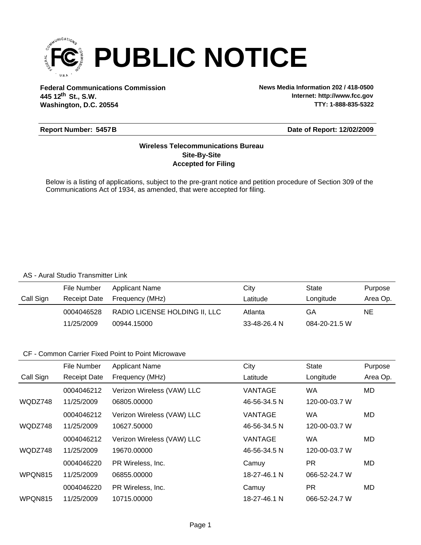

**Federal Communications Commission News Media Information 202 / 418-0500 Washington, D.C. 20554 th 445 12 St., S.W.**

**Internet: http://www.fcc.gov TTY: 1-888-835-5322**

### **Report Number: 5457B**

### **Date of Report: 12/02/2009**

### **Accepted for Filing Site-By-Site Wireless Telecommunications Bureau**

Below is a listing of applications, subject to the pre-grant notice and petition procedure of Section 309 of the Communications Act of 1934, as amended, that were accepted for filing.

#### AS - Aural Studio Transmitter Link

|           | File Number  | <b>Applicant Name</b>         | City               | State         | Purpose  |
|-----------|--------------|-------------------------------|--------------------|---------------|----------|
| Call Sign | Receipt Date | Frequency (MHz)               | Latitude           | Longitude     | Area Op. |
|           | 0004046528   | RADIO LICENSE HOLDING II, LLC | Atlanta            | GA            | NE       |
|           | 11/25/2009   | 00944.15000                   | $33 - 48 - 26.4 N$ | 084-20-21.5 W |          |

### CF - Common Carrier Fixed Point to Point Microwave

|           | File Number         | <b>Applicant Name</b>      | City           | <b>State</b>  | Purpose  |
|-----------|---------------------|----------------------------|----------------|---------------|----------|
| Call Sign | <b>Receipt Date</b> | Frequency (MHz)            | Latitude       | Longitude     | Area Op. |
|           | 0004046212          | Verizon Wireless (VAW) LLC | <b>VANTAGE</b> | <b>WA</b>     | MD       |
| WQDZ748   | 11/25/2009          | 06805.00000                | 46-56-34.5 N   | 120-00-03.7 W |          |
|           | 0004046212          | Verizon Wireless (VAW) LLC | <b>VANTAGE</b> | WA            | MD       |
| WQDZ748   | 11/25/2009          | 10627.50000                | 46-56-34.5 N   | 120-00-03.7 W |          |
|           | 0004046212          | Verizon Wireless (VAW) LLC | VANTAGE        | <b>WA</b>     | MD.      |
| WQDZ748   | 11/25/2009          | 19670.00000                | 46-56-34.5 N   | 120-00-03.7 W |          |
|           | 0004046220          | PR Wireless, Inc.          | Camuy          | <b>PR</b>     | MD       |
| WPQN815   | 11/25/2009          | 06855.00000                | 18-27-46.1 N   | 066-52-24.7 W |          |
|           | 0004046220          | PR Wireless, Inc.          | Camuy          | <b>PR</b>     | MD.      |
| WPQN815   | 11/25/2009          | 10715,00000                | 18-27-46.1 N   | 066-52-24.7 W |          |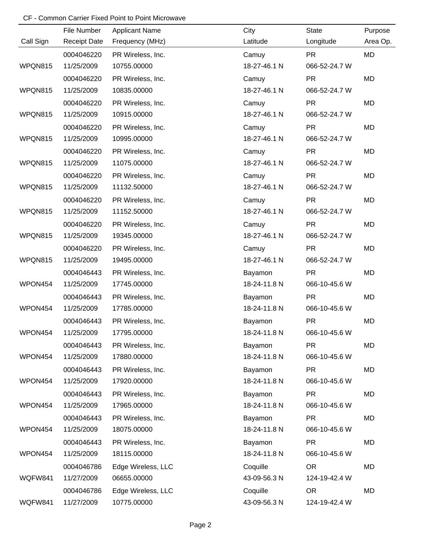# CF - Common Carrier Fixed Point to Point Microwave

|           | File Number         | <b>Applicant Name</b> | City         | <b>State</b>  | Purpose   |
|-----------|---------------------|-----------------------|--------------|---------------|-----------|
| Call Sign | <b>Receipt Date</b> | Frequency (MHz)       | Latitude     | Longitude     | Area Op.  |
|           | 0004046220          | PR Wireless, Inc.     | Camuy        | <b>PR</b>     | <b>MD</b> |
| WPQN815   | 11/25/2009          | 10755.00000           | 18-27-46.1 N | 066-52-24.7 W |           |
|           | 0004046220          | PR Wireless, Inc.     | Camuy        | <b>PR</b>     | MD        |
| WPQN815   | 11/25/2009          | 10835.00000           | 18-27-46.1 N | 066-52-24.7 W |           |
|           | 0004046220          | PR Wireless, Inc.     | Camuy        | <b>PR</b>     | MD        |
| WPQN815   | 11/25/2009          | 10915.00000           | 18-27-46.1 N | 066-52-24.7 W |           |
|           | 0004046220          | PR Wireless, Inc.     | Camuy        | <b>PR</b>     | MD        |
| WPQN815   | 11/25/2009          | 10995.00000           | 18-27-46.1 N | 066-52-24.7 W |           |
|           | 0004046220          | PR Wireless, Inc.     | Camuy        | <b>PR</b>     | MD        |
| WPQN815   | 11/25/2009          | 11075.00000           | 18-27-46.1 N | 066-52-24.7 W |           |
|           | 0004046220          | PR Wireless, Inc.     | Camuy        | <b>PR</b>     | MD        |
| WPQN815   | 11/25/2009          | 11132.50000           | 18-27-46.1 N | 066-52-24.7 W |           |
|           | 0004046220          | PR Wireless, Inc.     | Camuy        | <b>PR</b>     | MD        |
| WPQN815   | 11/25/2009          | 11152.50000           | 18-27-46.1 N | 066-52-24.7 W |           |
|           | 0004046220          | PR Wireless, Inc.     | Camuy        | <b>PR</b>     | MD        |
| WPQN815   | 11/25/2009          | 19345.00000           | 18-27-46.1 N | 066-52-24.7 W |           |
|           | 0004046220          | PR Wireless, Inc.     | Camuy        | <b>PR</b>     | MD        |
| WPQN815   | 11/25/2009          | 19495.00000           | 18-27-46.1 N | 066-52-24.7 W |           |
|           | 0004046443          | PR Wireless, Inc.     | Bayamon      | <b>PR</b>     | MD        |
| WPON454   | 11/25/2009          | 17745.00000           | 18-24-11.8 N | 066-10-45.6 W |           |
|           | 0004046443          | PR Wireless, Inc.     | Bayamon      | <b>PR</b>     | MD        |
| WPON454   | 11/25/2009          | 17785.00000           | 18-24-11.8 N | 066-10-45.6 W |           |
|           | 0004046443          | PR Wireless, Inc.     | Bayamon      | <b>PR</b>     | MD        |
| WPON454   | 11/25/2009          | 17795.00000           | 18-24-11.8 N | 066-10-45.6 W |           |
|           | 0004046443          | PR Wireless, Inc.     | Bayamon      | <b>PR</b>     | MD        |
| WPON454   | 11/25/2009          | 17880.00000           | 18-24-11.8 N | 066-10-45.6 W |           |
|           | 0004046443          | PR Wireless, Inc.     | Bayamon      | <b>PR</b>     | MD        |
| WPON454   | 11/25/2009          | 17920.00000           | 18-24-11.8 N | 066-10-45.6 W |           |
|           | 0004046443          | PR Wireless, Inc.     | Bayamon      | <b>PR</b>     | MD        |
| WPON454   | 11/25/2009          | 17965.00000           | 18-24-11.8 N | 066-10-45.6 W |           |
|           | 0004046443          | PR Wireless, Inc.     | Bayamon      | <b>PR</b>     | MD        |
| WPON454   | 11/25/2009          | 18075.00000           | 18-24-11.8 N | 066-10-45.6 W |           |
|           | 0004046443          | PR Wireless, Inc.     | Bayamon      | <b>PR</b>     | MD        |
| WPON454   | 11/25/2009          | 18115.00000           | 18-24-11.8 N | 066-10-45.6 W |           |
|           | 0004046786          | Edge Wireless, LLC    | Coquille     | <b>OR</b>     | MD        |
| WQFW841   | 11/27/2009          | 06655.00000           | 43-09-56.3 N | 124-19-42.4 W |           |
|           | 0004046786          | Edge Wireless, LLC    | Coquille     | <b>OR</b>     | MD        |
| WQFW841   | 11/27/2009          | 10775.00000           | 43-09-56.3 N | 124-19-42.4 W |           |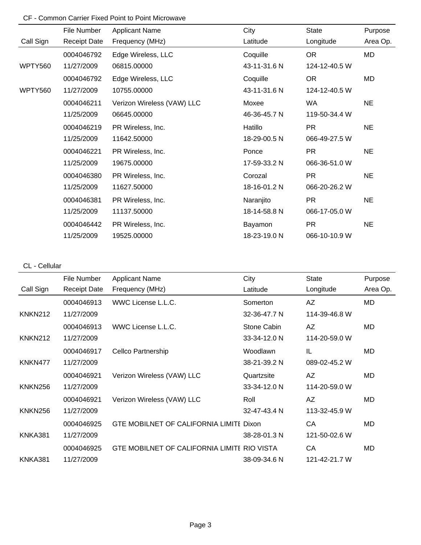# CF - Common Carrier Fixed Point to Point Microwave

|                | File Number         | <b>Applicant Name</b>      | City         | <b>State</b>  | Purpose   |
|----------------|---------------------|----------------------------|--------------|---------------|-----------|
| Call Sign      | <b>Receipt Date</b> | Frequency (MHz)            | Latitude     | Longitude     | Area Op.  |
|                | 0004046792          | Edge Wireless, LLC         | Coquille     | <b>OR</b>     | MD        |
| <b>WPTY560</b> | 11/27/2009          | 06815.00000                | 43-11-31.6 N | 124-12-40.5 W |           |
|                | 0004046792          | Edge Wireless, LLC         | Coquille     | <b>OR</b>     | MD        |
| <b>WPTY560</b> | 11/27/2009          | 10755.00000                | 43-11-31.6 N | 124-12-40.5 W |           |
|                | 0004046211          | Verizon Wireless (VAW) LLC | Moxee        | <b>WA</b>     | <b>NE</b> |
|                | 11/25/2009          | 06645.00000                | 46-36-45.7 N | 119-50-34.4 W |           |
|                | 0004046219          | PR Wireless, Inc.          | Hatillo      | <b>PR</b>     | <b>NE</b> |
|                | 11/25/2009          | 11642.50000                | 18-29-00.5 N | 066-49-27.5 W |           |
|                | 0004046221          | PR Wireless, Inc.          | Ponce        | <b>PR</b>     | <b>NE</b> |
|                | 11/25/2009          | 19675.00000                | 17-59-33.2 N | 066-36-51.0 W |           |
|                | 0004046380          | PR Wireless, Inc.          | Corozal      | <b>PR</b>     | <b>NE</b> |
|                | 11/25/2009          | 11627.50000                | 18-16-01.2 N | 066-20-26.2 W |           |
|                | 0004046381          | PR Wireless, Inc.          | Naranjito    | <b>PR</b>     | <b>NE</b> |
|                | 11/25/2009          | 11137.50000                | 18-14-58.8 N | 066-17-05.0 W |           |
|                | 0004046442          | PR Wireless, Inc.          | Bayamon      | <b>PR</b>     | <b>NE</b> |
|                | 11/25/2009          | 19525.00000                | 18-23-19.0 N | 066-10-10.9 W |           |

## CL - Cellular

|                | File Number         | <b>Applicant Name</b>                       | City         | <b>State</b>  | Purpose   |
|----------------|---------------------|---------------------------------------------|--------------|---------------|-----------|
| Call Sign      | <b>Receipt Date</b> | Frequency (MHz)                             | Latitude     | Longitude     | Area Op.  |
|                | 0004046913          | WWC License L.L.C.                          | Somerton     | AZ            | MD        |
| <b>KNKN212</b> | 11/27/2009          |                                             | 32-36-47.7 N | 114-39-46.8 W |           |
|                | 0004046913          | WWC License L.L.C.                          | Stone Cabin  | AZ            | MD        |
| <b>KNKN212</b> | 11/27/2009          |                                             | 33-34-12.0 N | 114-20-59.0 W |           |
|                | 0004046917          | Cellco Partnership                          | Woodlawn     | IL            | <b>MD</b> |
| KNKN477        | 11/27/2009          |                                             | 38-21-39.2 N | 089-02-45.2 W |           |
|                | 0004046921          | Verizon Wireless (VAW) LLC                  | Quartzsite   | AZ            | MD        |
| <b>KNKN256</b> | 11/27/2009          |                                             | 33-34-12.0 N | 114-20-59.0 W |           |
|                | 0004046921          | Verizon Wireless (VAW) LLC                  | Roll         | AZ            | MD        |
| <b>KNKN256</b> | 11/27/2009          |                                             | 32-47-43.4 N | 113-32-45.9 W |           |
|                | 0004046925          | GTE MOBILNET OF CALIFORNIA LIMITI Dixon     |              | CA            | MD.       |
| KNKA381        | 11/27/2009          |                                             | 38-28-01.3 N | 121-50-02.6 W |           |
|                | 0004046925          | GTE MOBILNET OF CALIFORNIA LIMITI RIO VISTA |              | CA            | MD        |
| KNKA381        | 11/27/2009          |                                             | 38-09-34.6 N | 121-42-21.7 W |           |